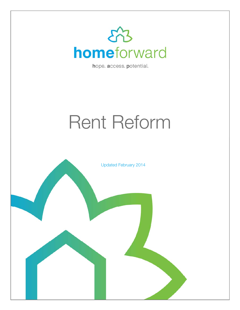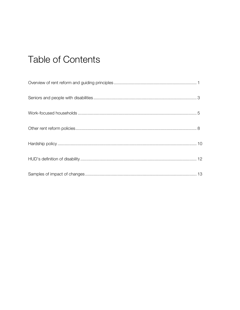# **Table of Contents**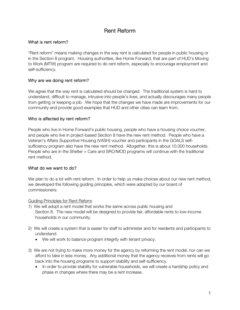### Rent Reform

#### What is rent reform?

"Rent reform" means making changes in the way rent is calculated for people in public housing or in the Section 8 program. Housing authorities, like Home Forward, that are part of HUD's Moving to Work (MTW) program are required to do rent reform, especially to encourage employment and self-sufficiency.

#### Why are we doing rent reform?

We agree that the way rent is calculated should be changed. The traditional system is hard to understand, difficult to manage, intrusive into people's lives, and actually discourages many people from getting or keeping a job. We hope that the changes we have made are improvements for our community and provide good examples that HUD and other cities can learn from.

#### Who is affected by rent reform?

People who live in Home Forward's public housing, people who have a housing choice voucher, and people who live in project-based Section 8 have the new rent method. People who have a Veteran's Affairs Supportive Housing (VASH) voucher and participants in the GOALS selfsufficiency program also have the new rent method. Altogether, this is about 10,000 households. People who are in the Shelter + Care and SRO/MOD programs will continue with the traditional rent method.

#### What do we want to do?

We plan to do a lot with rent reform. In order to help us make choices about our new rent method, we developed the following guiding principles, which were adopted by our board of commissioners:

Guiding Principles for Rent Reform

- 1) We will adopt a rent model that works the same across public housing and Section 8. The new model will be designed to provide fair, affordable rents to low-income households in our community.
- 2) We will create a system that is easier for staff to administer and for residents and participants to understand.
	- We will work to balance program integrity with tenant privacy.
- 3) We are not trying to make more money for the agency by reforming the rent model, nor can we afford to take in less money. Any additional money that the agency receives from rents will go back into the housing programs to support stability and self-sufficiency.
	- In order to provide stability for vulnerable households, we will create a hardship policy and phase in changes where there may be a rent increase.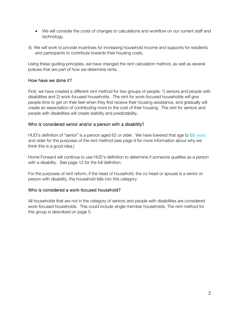- We will consider the costs of changes to calculations and workflow on our current staff and technology.
- 4) We will work to provide incentives for increasing household income and supports for residents and participants to contribute towards their housing costs.

Using these guiding principles, we have changed the rent calculation method, as well as several policies that are part of how we determine rents.

#### How have we done it?

First, we have created a different rent method for two groups of people: 1) seniors and people with disabilities and 2) work-focused households. The rent for work-focused households will give people time to get on their feet when they first receive their housing assistance, and gradually will create an expectation of contributing more to the cost of their housing. The rent for seniors and people with disabilities will create stability and predictability.

#### Who is considered senior and/or a person with a disability?

HUD's definition of "senior" is a person aged 62 or older. We have lowered that age to 55 years and older for the purposes of the rent method (see page 9 for more information about why we think this is a good idea.)

Home Forward will continue to use HUD's definition to determine if someone qualifies as a person with a disability. See page 12 for the full definition.

For the purposes of rent reform, if the head of household, the co-head or spouse is a senior or person with disability, the household falls into this category.

#### Who is considered a work-focused household?

All households that are not in the category of seniors and people with disabilities are considered work-focused households. This could include single-member households. The rent method for this group is described on page 5.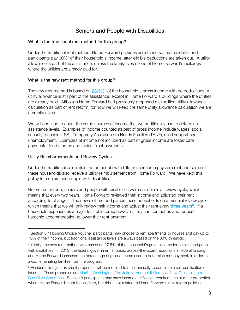### Seniors and People with Disabilities

#### What is the traditional rent method for this group?

Under the traditional rent method, Home Forward provides assistance so that residents and participants pay 30%<sup>1</sup> of their household's income, after eligible deductions are taken out. A utility allowance is part of the assistance, unless the family lives in one of Home Forward's buildings where the utilities are already paid for.

#### What is the new rent method for this group?

The new rent method is based on 28.5%<sup>2</sup> of the household's gross income with no deductions. A utility allowance is still part of the assistance, except in Home Forward's buildings where the utilities are already paid. Although Home Forward had previously proposed a simplified utility allowance calculation as part of rent reform, for now we will keep the same utility allowance calculation we are currently using.

We will continue to count the same sources of income that we traditionally use to determine assistance levels. Examples of income counted as part of gross income include wages, social security, pensions, SSI, Temporary Assistance to Needy Families (TANF), child support and unemployment. Examples of income not included as part of gross income are foster care payments, food stamps and Indian Trust payments.

#### Utility Reimbursements and Review Cycles

 $\overline{a}$ 

Under the traditional calculation, some people with little or no income pay zero rent and some of these households also receive a utility reimbursement from Home Forward. We have kept this policy for seniors and people with disabilities.

Before rent reform, seniors and people with disabilities were on a biennial review cycle, which means that every two years, Home Forward reviewed their income and adjusted their rent according to changes. The new rent method places these households on a triennial review cycle, which means that we will only review their income and adjust their rent every three years<sup>3</sup>. If a household experiences a major loss of income, however, they can contact us and request hardship accommodation to lower their rent payment.

<sup>1</sup> Section 8 / Housing Choice Voucher participants may choose to rent apartments or houses and pay up to 70% of their income, but traditional assistance levels are always based on the 30% threshold.

<sup>&</sup>lt;sup>2</sup> Initially, the new rent method was based on 27.5% of the household's gross income for seniors and people with disabilities. In 2013, the federal government imposed across-the-board reductions in federal funding, and Home Forward increased the percentage of gross income used to determine rent payment, in order to avoid terminating families from the program.

<sup>&</sup>lt;sup>3</sup> Residents living in tax credit properties will be required to meet annually to complete a self-certification of income. These properties are Martha Washington, The Jeffrey, Humboldt Gardens, New Columbia, and the Bud Clark Commons. Section 8 participants may have income certification requirements at other properties where Home Forward is not the landlord, but this is not related to Home Forward's rent reform policies.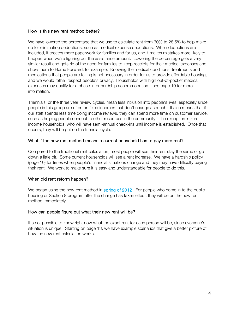#### How is this new rent method better?

We have lowered the percentage that we use to calculate rent from 30% to 28.5% to help make up for eliminating deductions, such as medical expense deductions. When deductions are included, it creates more paperwork for families and for us, and it makes mistakes more likely to happen when we're figuring out the assistance amount. Lowering the percentage gets a very similar result and gets rid of the need for families to keep receipts for their medical expenses and show them to Home Forward, for example. Knowing the medical conditions, treatments and medications that people are taking is not necessary in order for us to provide affordable housing, and we would rather respect people's privacy. Households with high out-of-pocket medical expenses may qualify for a phase-in or hardship accommodation – see page 10 for more information.

Triennials, or the three year review cycles, mean less intrusion into people's lives, especially since people in this group are often on fixed incomes that don't change as much. It also means that if our staff spends less time doing income reviews, they can spend more time on customer service, such as helping people connect to other resources in the community. The exception is zeroincome households, who will have semi-annual check-ins until income is established. Once that occurs, they will be put on the triennial cycle.

#### What if the new rent method means a current household has to pay more rent?

Compared to the traditional rent calculation, most people will see their rent stay the same or go down a little bit. Some current households will see a rent increase. We have a hardship policy (page 10) for times when people's financial situations change and they may have difficulty paying their rent. We work to make sure it is easy and understandable for people to do this.

#### When did rent reform happen?

We began using the new rent method in spring of 2012. For people who come in to the public housing or Section 8 program after the change has taken effect, they will be on the new rent method immediately.

#### How can people figure out what their new rent will be?

It's not possible to know right now what the exact rent for each person will be, since everyone's situation is unique. Starting on page 13, we have example scenarios that give a better picture of how the new rent calculation works.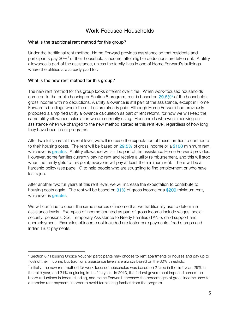## Work-Focused Households

#### What is the traditional rent method for this group?

Under the traditional rent method, Home Forward provides assistance so that residents and participants pay 30%<sup>4</sup> of their household's income, after eligible deductions are taken out. A utility allowance is part of the assistance, unless the family lives in one of Home Forward's buildings where the utilities are already paid for.

#### What is the new rent method for this group?

 $\overline{a}$ 

The new rent method for this group looks different over time. When work-focused households come on to the public housing or Section 8 program, rent is based on 29.5%<sup>5</sup> of the household's gross income with no deductions. A utility allowance is still part of the assistance, except in Home Forward's buildings where the utilities are already paid. Although Home Forward had previously proposed a simplified utility allowance calculation as part of rent reform, for now we will keep the same utility allowance calculation we are currently using. Households who were receiving our assistance when we changed to the new method started at this rent level, regardless of how long they have been in our programs.

After two full years at this rent level, we will increase the expectation of these families to contribute to their housing costs. The rent will be based on  $29.5\%$  of gross income or a \$100 minimum rent, whichever is **greater**. A utility allowance will still be part of the assistance Home Forward provides. However, some families currently pay no rent and receive a utility reimbursement, and this will stop when the family gets to this point; everyone will pay at least the minimum rent. There will be a hardship policy (see page 10) to help people who are struggling to find employment or who have lost a job.

After another two full years at this rent level, we will increase the expectation to contribute to housing costs again. The rent will be based on 31% of gross income or a \$200 minimum rent, whichever is **greater**.

We will continue to count the same sources of income that we traditionally use to determine assistance levels. Examples of income counted as part of gross income include wages, social security, pensions, SSI, Temporary Assistance to Needy Families (TANF), child support and unemployment. Examples of income not included are foster care payments, food stamps and Indian Trust payments.

<sup>4</sup> Section 8 / Housing Choice Voucher participants may choose to rent apartments or houses and pay up to 70% of their income, but traditional assistance levels are always based on the 30% threshold.

 $<sup>5</sup>$  Initially, the new rent method for work-focused households was based on 27.5% in the first year, 29% in</sup> the third year, and 31% beginning in the fifth year. In 2013, the federal government imposed across-theboard reductions in federal funding, and Home Forward increased the percentages of gross income used to determine rent payment, in order to avoid terminating families from the program.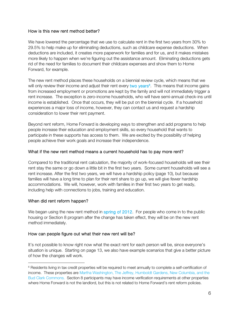#### How is this new rent method better?

We have lowered the percentage that we use to calculate rent in the first two years from 30% to 29.5% to help make up for eliminating deductions, such as childcare expense deductions. When deductions are included, it creates more paperwork for families and for us, and it makes mistakes more likely to happen when we're figuring out the assistance amount. Eliminating deductions gets rid of the need for families to document their childcare expenses and show them to Home Forward, for example.

The new rent method places these households on a biennial review cycle, which means that we will only review their income and adjust their rent every two years<sup>6</sup>. This means that income gains from increased employment or promotions are kept by the family and will not immediately trigger a rent increase. The exception is zero-income households, who will have semi-annual check-ins until income is established. Once that occurs, they will be put on the biennial cycle. If a household experiences a major loss of income, however, they can contact us and request a hardship consideration to lower their rent payment.

Beyond rent reform, Home Forward is developing ways to strengthen and add programs to help people increase their education and employment skills, so every household that wants to participate in these supports has access to them. We are excited by the possibility of helping people achieve their work goals and increase their independence.

#### What if the new rent method means a current household has to pay more rent?

Compared to the traditional rent calculation, the majority of work-focused households will see their rent stay the same or go down a little bit in the first two years. Some current households will see a rent increase. After the first two years, we will have a hardship policy (page 10), but because families will have a long time to plan for their rent share to go up, we will give fewer hardship accommodations. We will, however, work with families in their first two years to get ready, including help with connections to jobs, training and education.

#### When did rent reform happen?

 $\overline{a}$ 

We began using the new rent method in spring of 2012. For people who come in to the public housing or Section 8 program after the change has taken effect, they will be on the new rent method immediately.

#### How can people figure out what their new rent will be?

It's not possible to know right now what the exact rent for each person will be, since everyone's situation is unique. Starting on page 13, we also have example scenarios that give a better picture of how the changes will work.

<sup>&</sup>lt;sup>6</sup> Residents living in tax credit properties will be required to meet annually to complete a self-certification of income. These properties are Martha Washington, The Jeffrey, Humboldt Gardens, New Columbia, and the Bud Clark Commons. Section 8 participants may have income verification requirements at other properties where Home Forward is not the landlord, but this is not related to Home Forward's rent reform policies.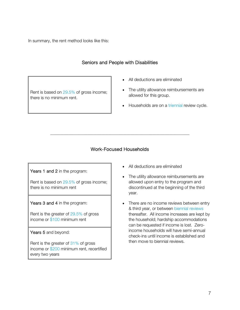In summary, the rent method looks like this:

### Seniors and People with Disabilities

Rent is based on 29.5% of gross income; there is no minimum rent.

- All deductions are eliminated
- The utility allowance reimbursements are allowed for this group.
- Households are on a triennial review cycle.

### Work-Focused Households

\_\_\_\_\_\_\_\_\_\_\_\_\_\_\_\_\_\_\_\_\_\_\_\_\_\_\_\_\_\_\_\_\_\_\_\_\_\_\_\_\_\_\_\_\_\_\_\_\_\_\_\_\_\_\_\_\_\_\_\_\_\_\_\_\_\_\_\_\_\_\_

Years 1 and 2 in the program:

Rent is based on 29.5% of gross income; there is no minimum rent

Years 3 and 4 in the program:

Rent is the greater of 29.5% of gross income or \$100 minimum rent

#### Years 5 and beyond:

Rent is the greater of 31% of gross income or \$200 minimum rent, recertified every two years

- All deductions are eliminated
- The utility allowance reimbursements are allowed upon entry to the program and discontinued at the beginning of the third year.
- There are no income reviews between entry & third year, or between biennial reviews thereafter. All income increases are kept by the household; hardship accommodations can be requested if income is lost. Zeroincome households will have semi-annual check-ins until income is established and then move to biennial reviews.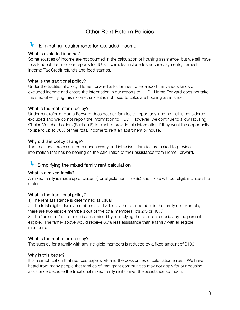### Other Rent Reform Policies

### Eliminating requirements for excluded income

#### What is excluded income?

Some sources of income are not counted in the calculation of housing assistance, but we still have to ask about them for our reports to HUD. Examples include foster care payments, Earned Income Tax Credit refunds and food stamps.

#### What is the traditional policy?

Under the traditional policy, Home Forward asks families to self-report the various kinds of excluded income and enters the information in our reports to HUD. Home Forward does not take the step of verifying this income, since it is not used to calculate housing assistance.

#### What is the rent reform policy?

Under rent reform, Home Forward does not ask families to report any income that is considered excluded and we do not report the information to HUD. However, we continue to allow Housing Choice Voucher holders (Section 8) to elect to provide this information if they want the opportunity to spend up to 70% of their total income to rent an apartment or house.

#### Why did this policy change?

The traditional process is both unnecessary and intrusive – families are asked to provide information that has no bearing on the calculation of their assistance from Home Forward.

### Simplifying the mixed family rent calculation

#### What is a mixed family?

A mixed family is made up of citizen(s) or eligible noncitizen(s) and those without eligible citizenship status.

#### What is the traditional policy?

1) The rent assistance is determined as usual

2) The total eligible family members are divided by the total number in the family (for example, if there are two eligible members out of five total members, it's 2/5 or 40%)

3) The "prorated" assistance is determined by multiplying the total rent subsidy by the percent eligible. The family above would receive 60% less assistance than a family with all eligible members.

#### What is the rent reform policy?

The subsidy for a family with <u>any</u> ineligible members is reduced by a fixed amount of \$100.

#### Why is this better?

It is a simplification that reduces paperwork and the possibilities of calculation errors. We have heard from many people that families of immigrant communities may not apply for our housing assistance because the traditional mixed family rents lower the assistance so much.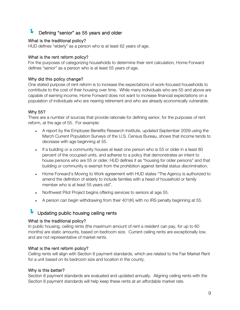# Defining "senior" as 55 years and older

#### What is the traditional policy?

HUD defines "elderly" as a person who is at least 62 years of age.

#### What is the rent reform policy?

For the purposes of categorizing households to determine their rent calculation, Home Forward defines "senior" as a person who is at least 55 years of age.

#### Why did this policy change?

One stated purpose of rent reform is to increase the expectations of work-focused households to contribute to the cost of their housing over time. While many individuals who are 55 and above are capable of earning income, Home Forward does not want to increase financial expectations on a population of individuals who are nearing retirement and who are already economically vulnerable.

#### Why 55?

There are a number of sources that provide rationale for defining senior, for the purposes of rent reform, at the age of 55. For example:

- A report by the Employee Benefits Research Institute, updated September 2009 using the March Current Population Surveys of the U.S. Census Bureau, shows that income tends to decrease with age beginning at 55.
- If a building or a community houses at least one person who is 55 or older in a least 80 percent of the occupied units, and adheres to a policy that demonstrates an intent to house persons who are 55 or older, HUD defines it as "housing for older persons" and that building or community is exempt from the prohibition against familial status discrimination.
- Home Forward's Moving to Work agreement with HUD states "The Agency is authorized to amend the definition of elderly to include families with a head of household or family member who is at least 55 years old".
- Northwest Pilot Project begins offering services to seniors at age 55.
- $\bullet$  A person can begin withdrawing from their 401(K) with no IRS penalty beginning at 55.

# Updating public housing ceiling rents

#### What is the traditional policy?

In public housing, ceiling rents (the maximum amount of rent a resident can pay, for up to 60 months) are static amounts, based on bedroom size. Current ceiling rents are exceptionally low, and are not representative of market rents.

#### What is the rent reform policy?

Ceiling rents will align with Section 8 payment standards, which are related to the Fair Market Rent for a unit based on its bedroom size and location in the county.

#### Why is this better?

Section 8 payment standards are evaluated and updated annually. Aligning ceiling rents with the Section 8 payment standards will help keep these rents at an affordable market rate.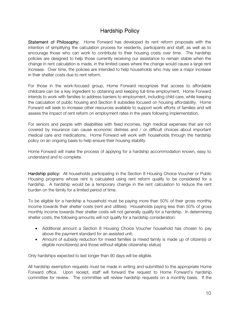### Hardship Policy

Statement of Philosophy: Home Forward has developed its rent reform proposals with the intention of simplifying the calculation process for residents, participants and staff, as well as to encourage those who can work to contribute to their housing costs over time. The hardship policies are designed to help those currently receiving our assistance to remain stable when the change in rent calculation is made, in the limited cases where the change would cause a large rent increase. Over time, the policies are intended to help households who may see a major increase in their shelter costs due to rent reform.

For those in the work-focused group, Home Forward recognizes that access to affordable childcare can be a key ingredient to obtaining and keeping full-time employment. Home Forward intends to work with families to address barriers to employment, including child care, while keeping the calculation of public housing and Section 8 subsidies focused on housing affordability. Home Forward will seek to increase other resources available to support work efforts of families and will assess the impact of rent reform on employment rates in the years following implementation.

For seniors and people with disabilities with fixed incomes, high medical expenses that are not covered by insurance can cause economic distress and / or difficult choices about important medical care and medications. Home Forward will work with households through the hardship policy on an ongoing basis to help ensure their housing stability.

Home Forward will make the process of applying for a hardship accommodation known, easy to understand and to complete.

Hardship policy: All households participating in the Section 8 Housing Choice Voucher or Public Housing programs whose rent is calculated using rent reform qualify to be considered for a hardship. A hardship would be a temporary change in the rent calculation to reduce the rent burden on the family for a limited period of time.

To be eligible for a hardship a household must be paying more than 50% of their gross monthly income towards their shelter costs (rent and utilities). Households paying less than 50% of gross monthly income towards their shelter costs will not generally qualify for a hardship. In determining shelter costs, the following amounts will not qualify for a hardship consideration:

- Additional amount a Section 8 Housing Choice Voucher household has chosen to pay above the payment standard for an assisted unit;
- Amount of subsidy reduction for mixed families (a mixed family is made up of citizen(s) or eligible noncitizen(s) and those without eligible citizenship status)

Only hardships expected to last longer than 90 days will be eligible.

All hardship exemption requests must be made in writing and submitted to the appropriate Home Forward office. Upon receipt, staff will forward the request to Home Forward's hardship committee for review. The committee will review hardship requests on a monthly basis. If the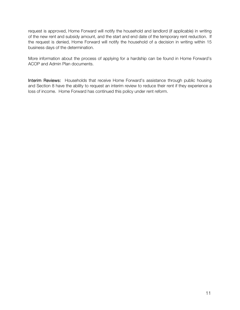request is approved, Home Forward will notify the household and landlord (if applicable) in writing of the new rent and subsidy amount, and the start and end date of the temporary rent reduction. If the request is denied, Home Forward will notify the household of a decision in writing within 15 business days of the determination.

More information about the process of applying for a hardship can be found in Home Forward's ACOP and Admin Plan documents.

Interim Reviews: Households that receive Home Forward's assistance through public housing and Section 8 have the ability to request an interim review to reduce their rent if they experience a loss of income. Home Forward has continued this policy under rent reform.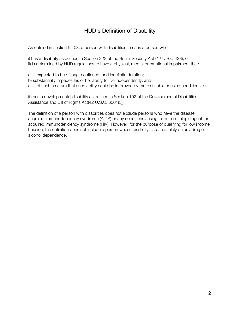# HUD's Definition of Disability

As defined in section 5.403, a person with disabilities, means a person who:

i) has a disability as defined in Section 223 of the Social Security Act (42 U.S.C.423), or ii) is determined by HUD regulations to have a physical, mental or emotional impairment that:

- a) is expected to be of long, continued, and indefinite duration;
- b) substantially impedes his or her ability to live independently; and
- c) is of such a nature that such ability could be improved by more suitable housing conditions, or

iii) has a developmental disability as defined in Section 102 of the Developmental Disabilities Assistance and Bill of Rights Act(42 U.S.C. 6001(5)).

The definition of a person with disabilities does not exclude persons who have the disease acquired immunodeficiency syndrome (AIDS) or any conditions arising from the etiologic agent for acquired immunodeficiency syndrome (HIV). However, for the purpose of qualifying for low income housing, the definition does not include a person whose disability is based solely on any drug or alcohol dependence.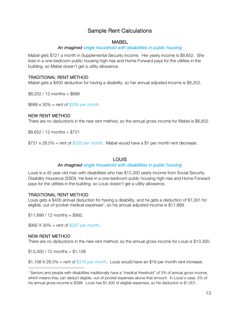### Sample Rent Calculations

#### **MARFI**

#### An imagined single household with disabilities in public housing

Mabel gets \$721 a month in Supplemental Security Income. Her yearly income is \$8,652. She lives in a one-bedroom public housing high-rise and Home Forward pays for the utilities in the building, so Mabel doesn't get a utility allowance.

#### TRADITIONAL RENT METHOD

Mabel gets a \$400 deduction for having a disability, so her annual adjusted income is \$8,252.

 $$8,252 / 12$  months = \$688

 $$688 \times 30\% =$  rent of  $$206$  per month

#### NEW RENT METHOD

There are no deductions in the new rent method, so the annual gross income for Mabel is \$8,652.

 $$8.652 / 12$  months = \$721

 $$721 \times 28.5\%$  = rent of  $$205$  per month. Mabel would have a \$1 per month rent decrease.

#### **LOUIS**

#### An imagined single household with disabilities in public housing

Louis is a 45 year-old man with disabilities who has \$13,300 yearly income from Social Security Disability Insurance (SSDI). He lives in a one-bedroom public housing high-rise and Home Forward pays for the utilities in the building, so Louis doesn't get a utility allowance.

#### TRADITIONAL RENT METHOD

Louis gets a \$400 annual deduction for having a disability, and he gets a deduction of \$1,001 for eligible, out-of-pocket medical expenses<sup>7</sup>, so his annual adjusted income is \$11,899.

 $$11,899 / 12$  months = \$992.

 $$992 X 30\% =$  rent of  $$297$  per month.

#### NEW RENT METHOD

 $\overline{a}$ 

There are no deductions in the new rent method, so the annual gross income for Louis is \$13,300.

 $$13,300 / 12$  months = \$1,108

 $$1,108$  X 28.5% = rent of  $$316$  per month. Louis would have an \$19 per month rent increase.

<sup>&</sup>lt;sup>7</sup> Seniors and people with disabilities traditionally have a "medical threshold" of 3% of annual gross income, which means they can deduct eligible, out-of-pocket expenses above that amount. In Louis's case, 3% of his annual gross income is \$399. Louis has \$1,400 of eligible expenses, so his deduction is \$1,001.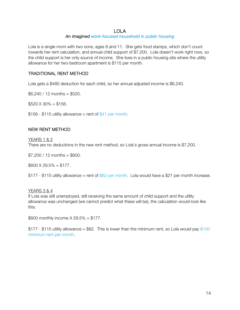#### LOLA

#### An imagined work-focused household in public housing

Lola is a single mom with two sons, ages 8 and 11. She gets food stamps, which don't count towards her rent calculation, and annual child support of \$7,200. Lola doesn't work right now, so the child support is her only source of income. She lives in a public housing site where the utility allowance for her two-bedroom apartment is \$115 per month.

#### TRADITIONAL RENT METHOD

Lola gets a \$480 deduction for each child, so her annual adjusted income is \$6,240.

 $$6,240 / 12$  months = \$520.

 $$520 \times 30\% = $156$ .

 $$156 - $115$  utility allowance = rent of  $$41$  per month.

#### NEW RENT METHOD

#### YEARS 1 & 2

There are no deductions in the new rent method, so Lola's gross annual income is \$7,200.

 $$7,200 / 12$  months = \$600.

 $$600 \times 29.5\% = $177$ .

 $$177 - $115$  utility allowance = rent of  $$62$  per month. Lola would have a \$21 per month increase.

#### YEARS 3 & 4

If Lola was still unemployed, still receiving the same amount of child support and the utility allowance was unchanged (we cannot predict what these will be), the calculation would look like this:

\$600 monthly income  $X$  29.5% = \$177.

 $$177 - $115$  utility allowance =  $$62$ . This is lower than the minimum rent, so Lola would pay  $$100$ minimum rent per month.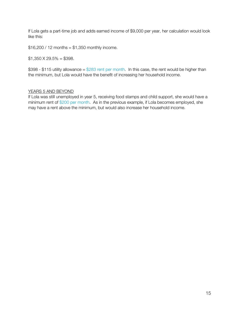If Lola gets a part-time job and adds earned income of \$9,000 per year, her calculation would look like this:

 $$16,200 / 12$  months =  $$1,350$  monthly income.

 $$1,350 \times 29.5\% = $398.$ 

\$398 - \$115 utility allowance =  $$283$  rent per month. In this case, the rent would be higher than the minimum, but Lola would have the benefit of increasing her household income.

#### YEARS 5 AND BEYOND

If Lola was still unemployed in year 5, receiving food stamps and child support, she would have a minimum rent of \$200 per month. As in the previous example, if Lola becomes employed, she may have a rent above the minimum, but would also increase her household income.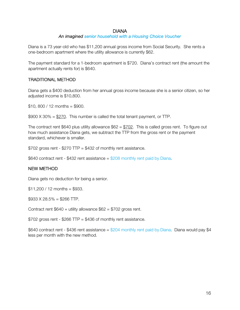#### DIANA

#### An imagined senior household with a Housing Choice Voucher

Diana is a 73 year-old who has \$11,200 annual gross income from Social Security. She rents a one-bedroom apartment where the utility allowance is currently \$62.

The payment standard for a 1-bedroom apartment is \$720. Diana's contract rent (the amount the apartment actually rents for) is \$640.

#### TRADITIONAL METHOD

Diana gets a \$400 deduction from her annual gross income because she is a senior citizen, so her adjusted income is \$10,800.

 $$10, 800 / 12$  months = \$900.

 $$900 \times 30\% = $270$ . This number is called the total tenant payment, or TTP.

The contract rent \$640 plus utility allowance  $$62 = $702$ . This is called gross rent. To figure out how much assistance Diana gets, we subtract the TTP from the gross rent or the payment standard, whichever is smaller.

 $$702$  gross rent -  $$270$  TTP =  $$432$  of monthly rent assistance.

\$640 contract rent - \$432 rent assistance = \$208 monthly rent paid by Diana.

#### NEW METHOD

Diana gets no deduction for being a senior.

 $$11,200 / 12$  months = \$933.

 $$933 \times 28.5\% = $266$  TTP.

Contract rent  $$640 + utility$  allowance  $$62 = $702$  gross rent.

\$702 gross rent - \$266 TTP = \$436 of monthly rent assistance.

\$640 contract rent - \$436 rent assistance = \$204 monthly rent paid by Diana. Diana would pay \$4 less per month with the new method.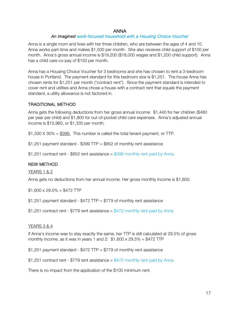#### ANNA

#### An imagined work-focused household with a Housing Choice Voucher

Anna is a single mom and lives with her three children, who are between the ages of 4 and 10. Anna works part-time and makes \$1,500 per month. She also receives child support of \$100 per month. Anna's gross annual income is \$19,200 (\$18,000 wages and \$1,200 child support). Anna has a child care co-pay of \$150 per month.

Anna has a Housing Choice Voucher for 3 bedrooms and she has chosen to rent a 3-bedroom house in Portland. The payment standard for this bedroom size is \$1,251. The house Anna has chosen rents for \$1,251 per month ("contract rent"). Since the payment standard is intended to cover rent and utilities and Anna chose a house with a contract rent that equals the payment standard, a utility allowance is not factored in.

#### TRADITIONAL METHOD

Anna gets the following deductions from her gross annual income: \$1,440 for her children (\$480 per year per child) and \$1,800 for out-of-pocket child care expenses. Anna's adjusted annual income is \$15,960, or \$1,330 per month.

 $$1,330$  X 30% =  $$399$ . This number is called the total tenant payment, or TTP.

 $$1,251$  payment standard -  $$399$  TTP =  $$852$  of monthly rent assistance

\$1,251 contract rent - \$852 rent assistance  $=$  \$399 monthly rent paid by Anna.

#### NEW METHOD

YEARS 1 & 2

Anna gets no deductions from her annual income. Her gross monthly income is \$1,600.

 $$1,600 \times 29.5\% = $472$  TTP

 $$1,251$  payment standard -  $$472$  TTP =  $$779$  of monthly rent assistance

\$1,251 contract rent - \$779 rent assistance =  $$472$  monthly rent paid by Anna

#### YEARS 3 & 4

If Anna's income was to stay exactly the same, her TTP is still calculated at 29.5% of gross monthly income, as it was in years 1 and 2:  $$1,600 \times 29.5\% = $472$  TTP

 $$1,251$  payment standard -  $$472$  TTP =  $$779$  of monthly rent assistance

\$1,251 contract rent - \$779 rent assistance =  $$472$  monthly rent paid by Anna

There is no impact from the application of the \$100 minimum rent.